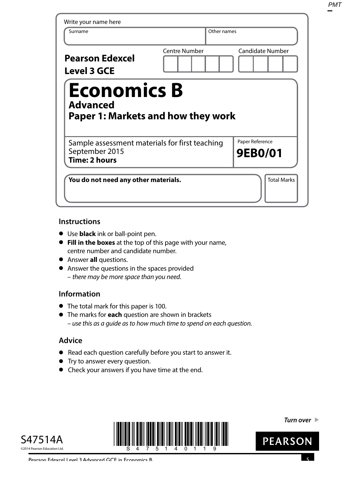| Write your name here<br>Surname                                                          | Other names   |                            |
|------------------------------------------------------------------------------------------|---------------|----------------------------|
| <b>Pearson Edexcel</b><br><b>Level 3 GCE</b>                                             | Centre Number | Candidate Number           |
| <b>Economics B</b>                                                                       |               |                            |
| <b>Advanced</b><br><b>Paper 1: Markets and how they work</b>                             |               |                            |
| Sample assessment materials for first teaching<br>September 2015<br><b>Time: 2 hours</b> |               | Paper Reference<br>9EB0/01 |

# **Instructions**

- **•** Use **black** ink or ball-point pen.
- **• Fill in the boxes** at the top of this page with your name, centre number and candidate number.
- **•** Answer **all** questions.
- **•** Answer the questions in the spaces provided – there may be more space than you need.

# **Information**

- **•** The total mark for this paper is 100.
- **•** The marks for **each** question are shown in brackets – use this as a guide as to how much time to spend on each question.

# **Advice**

- **•** Read each question carefully before you start to answer it.
- **•** Try to answer every question.
- **•** Check your answers if you have time at the end.





**Turn over** 

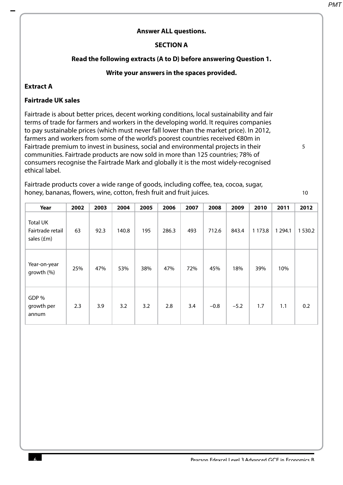5

10

#### **Answer ALL questions.**

#### **SECTION A**

#### **Read the following extracts (A to D) before answering Question 1.**

#### **Write your answers in the spaces provided.**

#### **Extract A**

#### **Fairtrade UK sales**

Fairtrade is about better prices, decent working conditions, local sustainability and fair terms of trade for farmers and workers in the developing world. It requires companies to pay sustainable prices (which must never fall lower than the market price). In 2012, farmers and workers from some of the world's poorest countries received €80m in Fairtrade premium to invest in business, social and environmental projects in their communities. Fairtrade products are now sold in more than 125 countries; 78% of consumers recognise the Fairtrade Mark and globally it is the most widely-recognised ethical label.

Fairtrade products cover a wide range of goods, including coffee, tea, cocoa, sugar, honey, bananas, flowers, wine, cotton, fresh fruit and fruit juices.

**Year 2002 2003 2004 2005 2006 2007 2008 2009 2010 2011 2012** Total UK Fairtrade retail sales (£m) 63 92.3 140.8 195 286.3 493 712.6 843.4 1 173.8 1 294.1 1 530.2 Year-on-year growth (%) 25% 47% 53% 38% 47% 72% 45% 18% 39% 10% GDP % growth per annum 2.3 3.9 3.2 3.2 2.8 3.4 –0.8 –5.2 1.7 1.1 0.2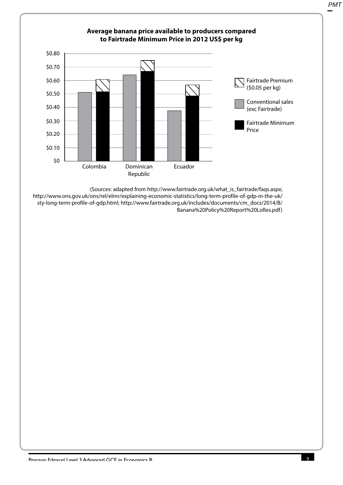

http://www.ons.gov.uk/ons/rel/elmr/explaining-economic-statistics/long-term-profile-of-gdp-in-the-uk/ sty-long-term-profile-of-gdp.html; http://www.fairtrade.org.uk/includes/documents/cm\_docs/2014/B/ Banana%20Policy%20Report%20LoRes.pdf)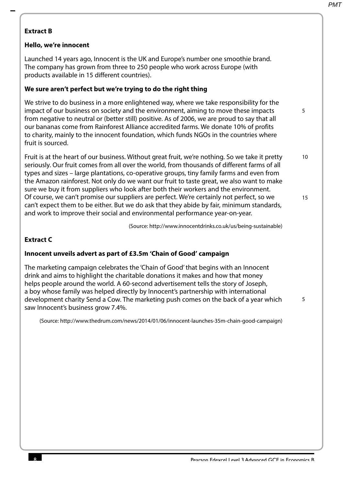5

5

# **Extract B**

# **Hello, we're innocent**

Launched 14 years ago, Innocent is the UK and Europe's number one smoothie brand. The company has grown from three to 250 people who work across Europe (with products available in 15 different countries).

# **We sure aren't perfect but we're trying to do the right thing**

We strive to do business in a more enlightened way, where we take responsibility for the impact of our business on society and the environment, aiming to move these impacts from negative to neutral or (better still) positive. As of 2006, we are proud to say that all our bananas come from Rainforest Alliance accredited farms. We donate 10% of profits to charity, mainly to the innocent foundation, which funds NGOs in the countries where fruit is sourced.

Fruit is at the heart of our business. Without great fruit, we're nothing. So we take it pretty seriously. Our fruit comes from all over the world, from thousands of different farms of all types and sizes – large plantations, co-operative groups, tiny family farms and even from the Amazon rainforest. Not only do we want our fruit to taste great, we also want to make sure we buy it from suppliers who look after both their workers and the environment. Of course, we can't promise our suppliers are perfect. We're certainly not perfect, so we can't expect them to be either. But we do ask that they abide by fair, minimum standards, and work to improve their social and environmental performance year-on-year. 10 15

(Source: http://www.innocentdrinks.co.uk/us/being-sustainable)

#### **Extract C**

## **Innocent unveils advert as part of £3.5m 'Chain of Good' campaign**

The marketing campaign celebrates the 'Chain of Good' that begins with an Innocent drink and aims to highlight the charitable donations it makes and how that money helps people around the world. A 60-second advertisement tells the story of Joseph, a boy whose family was helped directly by Innocent's partnership with international development charity Send a Cow. The marketing push comes on the back of a year which saw Innocent's business grow 7.4%.

(Source: http://www.thedrum.com/news/2014/01/06/innocent-launches-35m-chain-good-campaign)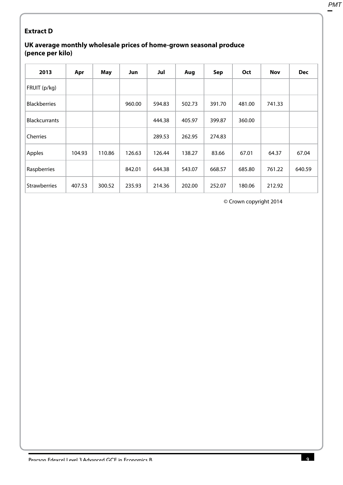# **Extract D**

## **UK average monthly wholesale prices of home-grown seasonal produce (pence per kilo)**

| 2013                 | Apr    | May    | Jun    | Jul    | Aug    | Sep    | Oct    | <b>Nov</b> | <b>Dec</b> |
|----------------------|--------|--------|--------|--------|--------|--------|--------|------------|------------|
| FRUIT (p/kg)         |        |        |        |        |        |        |        |            |            |
| <b>Blackberries</b>  |        |        | 960.00 | 594.83 | 502.73 | 391.70 | 481.00 | 741.33     |            |
| <b>Blackcurrants</b> |        |        |        | 444.38 | 405.97 | 399.87 | 360.00 |            |            |
| Cherries             |        |        |        | 289.53 | 262.95 | 274.83 |        |            |            |
| Apples               | 104.93 | 110.86 | 126.63 | 126.44 | 138.27 | 83.66  | 67.01  | 64.37      | 67.04      |
| Raspberries          |        |        | 842.01 | 644.38 | 543.07 | 668.57 | 685.80 | 761.22     | 640.59     |
| <b>Strawberries</b>  | 407.53 | 300.52 | 235.93 | 214.36 | 202.00 | 252.07 | 180.06 | 212.92     |            |

© Crown copyright 2014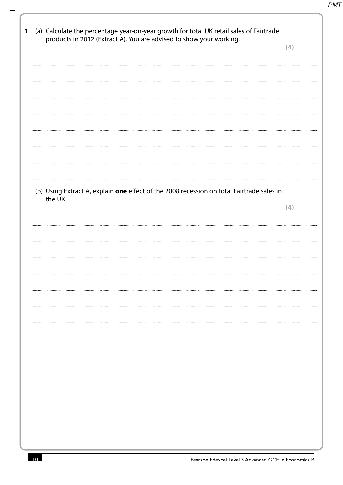| (a) Calculate the percentage year-on-year growth for total UK retail sales of Fairtrade<br>products in 2012 (Extract A). You are advised to show your working. | (4) |
|----------------------------------------------------------------------------------------------------------------------------------------------------------------|-----|
|                                                                                                                                                                |     |
|                                                                                                                                                                |     |
|                                                                                                                                                                |     |
|                                                                                                                                                                |     |
| (b) Using Extract A, explain one effect of the 2008 recession on total Fairtrade sales in                                                                      |     |
|                                                                                                                                                                | (4) |
|                                                                                                                                                                |     |
|                                                                                                                                                                |     |
|                                                                                                                                                                |     |
|                                                                                                                                                                |     |
|                                                                                                                                                                |     |
|                                                                                                                                                                |     |
|                                                                                                                                                                |     |
|                                                                                                                                                                |     |
|                                                                                                                                                                |     |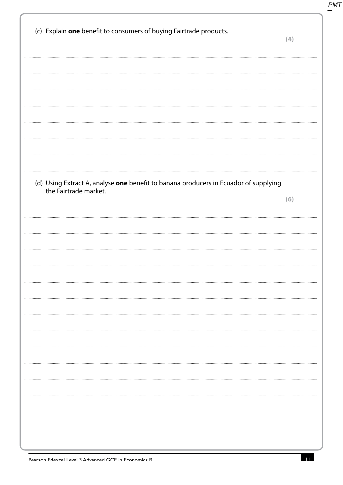|                       | (c) Explain one benefit to consumers of buying Fairtrade products.                   | (4) |
|-----------------------|--------------------------------------------------------------------------------------|-----|
|                       |                                                                                      |     |
|                       |                                                                                      |     |
|                       |                                                                                      |     |
|                       |                                                                                      |     |
|                       |                                                                                      |     |
|                       |                                                                                      |     |
|                       |                                                                                      |     |
|                       |                                                                                      |     |
| the Fairtrade market. | (d) Using Extract A, analyse one benefit to banana producers in Ecuador of supplying |     |
|                       |                                                                                      | (6) |
|                       |                                                                                      |     |
|                       |                                                                                      |     |
|                       |                                                                                      |     |
|                       |                                                                                      |     |
|                       |                                                                                      |     |
|                       |                                                                                      |     |
|                       |                                                                                      |     |
|                       |                                                                                      |     |
|                       |                                                                                      |     |
|                       |                                                                                      |     |
|                       |                                                                                      |     |
|                       |                                                                                      |     |
|                       |                                                                                      |     |
|                       |                                                                                      |     |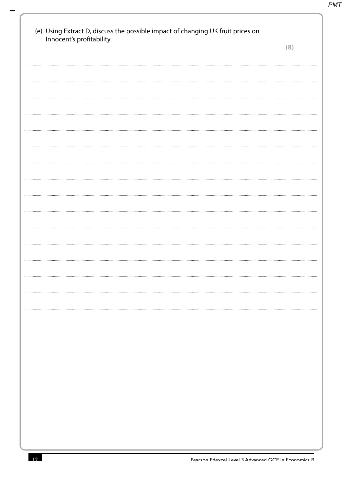| Innocent's profitability. | (8) |
|---------------------------|-----|
|                           |     |
|                           |     |
|                           |     |
|                           |     |
|                           |     |
|                           |     |
|                           |     |
|                           |     |
|                           |     |
|                           |     |
|                           |     |
|                           |     |
|                           |     |
|                           |     |
|                           |     |
|                           |     |
|                           |     |
|                           |     |
|                           |     |
|                           |     |
|                           |     |
|                           |     |
|                           |     |
|                           |     |
|                           |     |
|                           |     |
|                           |     |
|                           |     |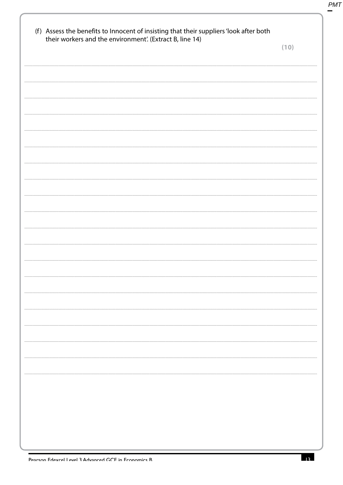| their workers and the environment'. (Extract B, line 14) |  |  | (10) |
|----------------------------------------------------------|--|--|------|
|                                                          |  |  |      |
|                                                          |  |  |      |
|                                                          |  |  |      |
|                                                          |  |  |      |
|                                                          |  |  |      |
|                                                          |  |  |      |
|                                                          |  |  |      |
|                                                          |  |  |      |
|                                                          |  |  |      |
|                                                          |  |  |      |
|                                                          |  |  |      |
|                                                          |  |  |      |
|                                                          |  |  |      |
|                                                          |  |  |      |
|                                                          |  |  |      |
|                                                          |  |  |      |
|                                                          |  |  |      |
|                                                          |  |  |      |
|                                                          |  |  |      |
|                                                          |  |  |      |
|                                                          |  |  |      |
|                                                          |  |  |      |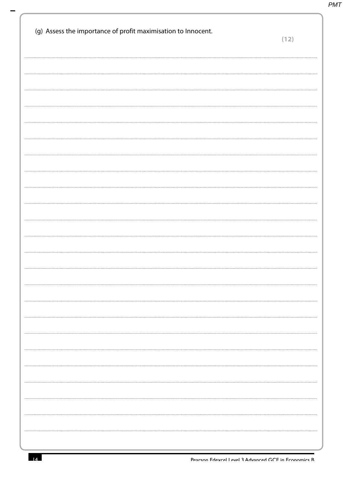| (g) Assess the importance of profit maximisation to Innocent. | (12) |
|---------------------------------------------------------------|------|
|                                                               |      |
|                                                               |      |
|                                                               |      |
|                                                               |      |
|                                                               |      |
|                                                               |      |
|                                                               |      |
|                                                               |      |
|                                                               |      |
|                                                               |      |
|                                                               |      |
|                                                               |      |
|                                                               |      |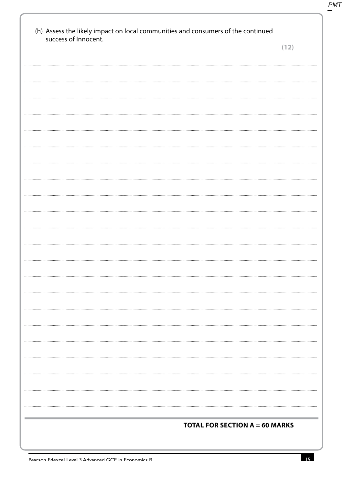| success of Innocent. |                                       | (12) |
|----------------------|---------------------------------------|------|
|                      |                                       |      |
|                      |                                       |      |
|                      |                                       |      |
|                      |                                       |      |
|                      |                                       |      |
|                      |                                       |      |
|                      |                                       |      |
|                      |                                       |      |
|                      |                                       |      |
|                      |                                       |      |
|                      |                                       |      |
|                      |                                       |      |
|                      |                                       |      |
|                      |                                       |      |
|                      |                                       |      |
|                      |                                       |      |
|                      |                                       |      |
|                      |                                       |      |
|                      |                                       |      |
|                      |                                       |      |
|                      |                                       |      |
|                      |                                       |      |
|                      |                                       |      |
|                      |                                       |      |
|                      |                                       |      |
|                      |                                       |      |
|                      |                                       |      |
|                      |                                       |      |
|                      |                                       |      |
|                      |                                       |      |
|                      | <b>TOTAL FOR SECTION A = 60 MARKS</b> |      |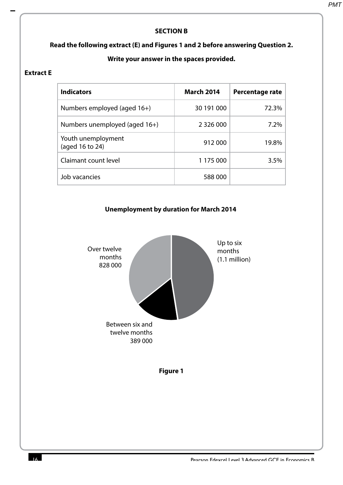## **SECTION B**

## **Read the following extract (E) and Figures 1 and 2 before answering Question 2.**

# **Write your answer in the spaces provided.**

#### **Extract E**

| <b>Indicators</b>                     | <b>March 2014</b> | Percentage rate |
|---------------------------------------|-------------------|-----------------|
| Numbers employed (aged 16+)           | 30 191 000        | 72.3%           |
| Numbers unemployed (aged 16+)         | 2 3 2 6 0 0 0     | 7.2%            |
| Youth unemployment<br>(aged 16 to 24) | 912 000           | 19.8%           |
| Claimant count level                  | 1 175 000         | 3.5%            |
| Job vacancies                         | 588 000           |                 |



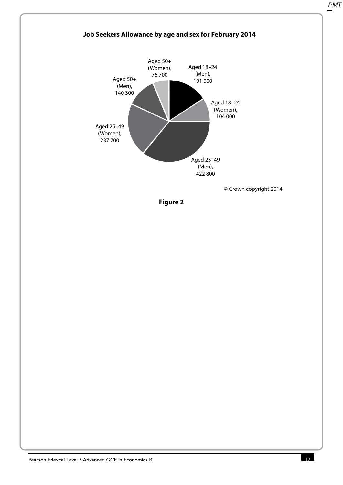

**Figure 2**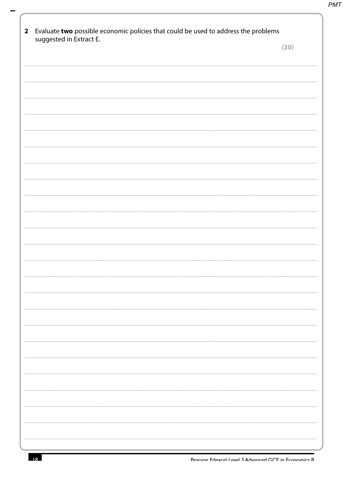| Evaluate two possible economic policies that could be used to address the problems<br>$\overline{\mathbf{2}}$ |      |
|---------------------------------------------------------------------------------------------------------------|------|
| suggested in Extract E.                                                                                       | (20) |
|                                                                                                               |      |
|                                                                                                               |      |
|                                                                                                               |      |
|                                                                                                               |      |
|                                                                                                               |      |
|                                                                                                               |      |
|                                                                                                               |      |
|                                                                                                               |      |
|                                                                                                               |      |
|                                                                                                               |      |
|                                                                                                               |      |
|                                                                                                               |      |
|                                                                                                               |      |
|                                                                                                               |      |
|                                                                                                               |      |
|                                                                                                               |      |
|                                                                                                               |      |
|                                                                                                               |      |
|                                                                                                               |      |
|                                                                                                               |      |
|                                                                                                               |      |
|                                                                                                               |      |
|                                                                                                               |      |
|                                                                                                               |      |
|                                                                                                               |      |
|                                                                                                               |      |
|                                                                                                               |      |
|                                                                                                               |      |
|                                                                                                               |      |
|                                                                                                               |      |
|                                                                                                               |      |
|                                                                                                               |      |
|                                                                                                               |      |
|                                                                                                               |      |
|                                                                                                               |      |
|                                                                                                               |      |
|                                                                                                               |      |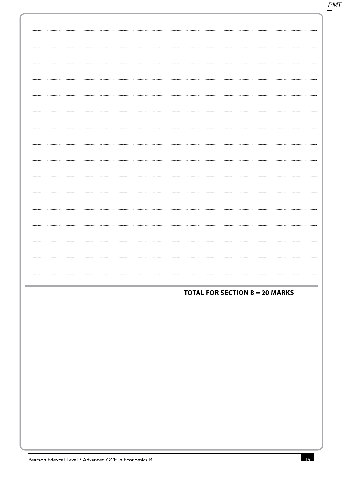| <b>TOTAL FOR SECTION B = 20 MARKS</b> |
|---------------------------------------|
|                                       |
|                                       |
|                                       |
|                                       |
|                                       |
|                                       |
|                                       |
|                                       |
|                                       |
|                                       |
|                                       |
|                                       |
|                                       |
|                                       |
|                                       |
|                                       |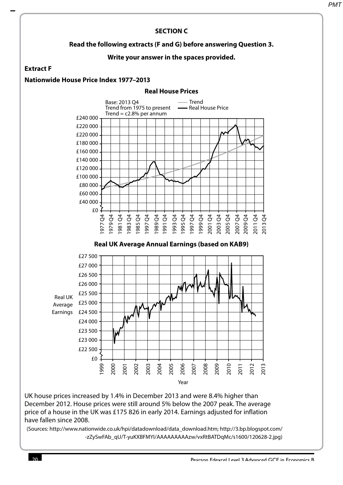#### **SECTION C Read the following extracts (F and G) before answering Question 3. Write your answer in the spaces provided. Extract F Nationwide House Price Index 1977–2013 Real House Prices** £240 000 £220 000 £220 000 £180 000 £160 000 £140 000 £120 000 £100 000 £80 000 £60 000 £40 000 £0 1977 Q4 1979 Q4 981 Q4<br>983 Q4<br>985 Q4 983 985 1997 Q4 1989 Q4 1991 Q4 50<br>1993 PD 26<br>1993 PD 36<br>1993 PD 366 995 997 1999 <sub>2001</sub>  $2003$ 2005 Q4 2007 Q4 2009 Q4 2011 Q4 2013 Q4 Base: 2013 Q4 Trend from 1975 to present Trend  $=$  c2.8% per annum Trend - Real House Price **Real UK Average Annual Earnings (based on KAB9)** £27 500 £27 000 £26 500 £26 000 £25 500 £25 000 Earnings £24 500 £24 000 £23 500 £23 000 £22 500 £0 1999 2000 2001 2002 2003 2004 2005 2006 2007 2008 2009 2010  $\overline{5}$ 2012 2013 Real UK Average Year

UK house prices increased by 1.4% in December 2013 and were 8.4% higher than December 2012. House prices were still around 5% below the 2007 peak. The average price of a house in the UK was £175 826 in early 2014. Earnings adjusted for inflation have fallen since 2008.

(Sources: http://www.nationwide.co.uk/hpi/datadownload/data\_download.htm; http://3.bp.blogspot.com/ -zZySwFAb\_qU/T-yuKXBFMYI/AAAAAAAAAzw/vxRtBATDqMc/s1600/120628-2.jpg)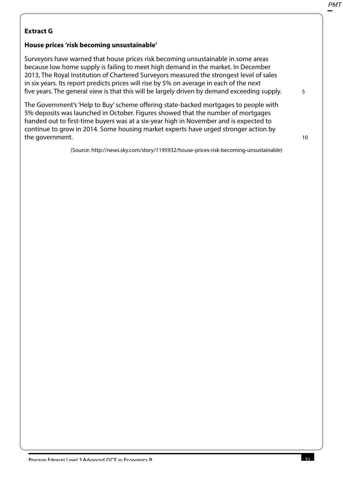# **Extract G**

# **House prices 'risk becoming unsustainable'**

Surveyors have warned that house prices risk becoming unsustainable in some areas because low home supply is failing to meet high demand in the market. In December 2013, The Royal Institution of Chartered Surveyors measured the strongest level of sales in six years. Its report predicts prices will rise by 5% on average in each of the next five years. The general view is that this will be largely driven by demand exceeding supply.

The Government's 'Help to Buy' scheme offering state-backed mortgages to people with 5% deposits was launched in October. Figures showed that the number of mortgages handed out to first-time buyers was at a six-year high in November and is expected to continue to grow in 2014. Some housing market experts have urged stronger action by the government.

(Source: http://news.sky.com/story/1195932/house-prices-risk-becoming-unsustainable)

10

5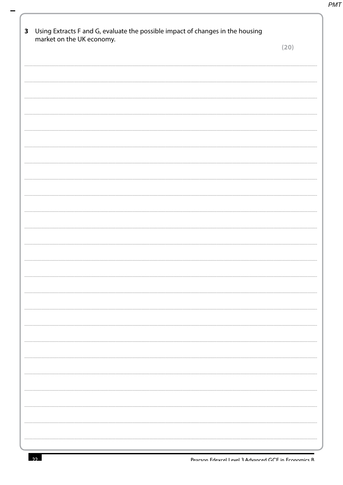| 3 | Using Extracts F and G, evaluate the possible impact of changes in the housing<br>market on the UK economy. |      |
|---|-------------------------------------------------------------------------------------------------------------|------|
|   |                                                                                                             | (20) |
|   |                                                                                                             |      |
|   |                                                                                                             |      |
|   |                                                                                                             |      |
|   |                                                                                                             |      |
|   |                                                                                                             |      |
|   |                                                                                                             |      |
|   |                                                                                                             |      |
|   |                                                                                                             |      |
|   |                                                                                                             |      |
|   |                                                                                                             |      |
|   |                                                                                                             |      |
|   |                                                                                                             |      |
|   |                                                                                                             |      |
|   |                                                                                                             |      |
|   |                                                                                                             |      |
|   |                                                                                                             |      |
|   |                                                                                                             |      |
|   |                                                                                                             |      |
|   |                                                                                                             |      |
|   |                                                                                                             |      |
|   |                                                                                                             |      |